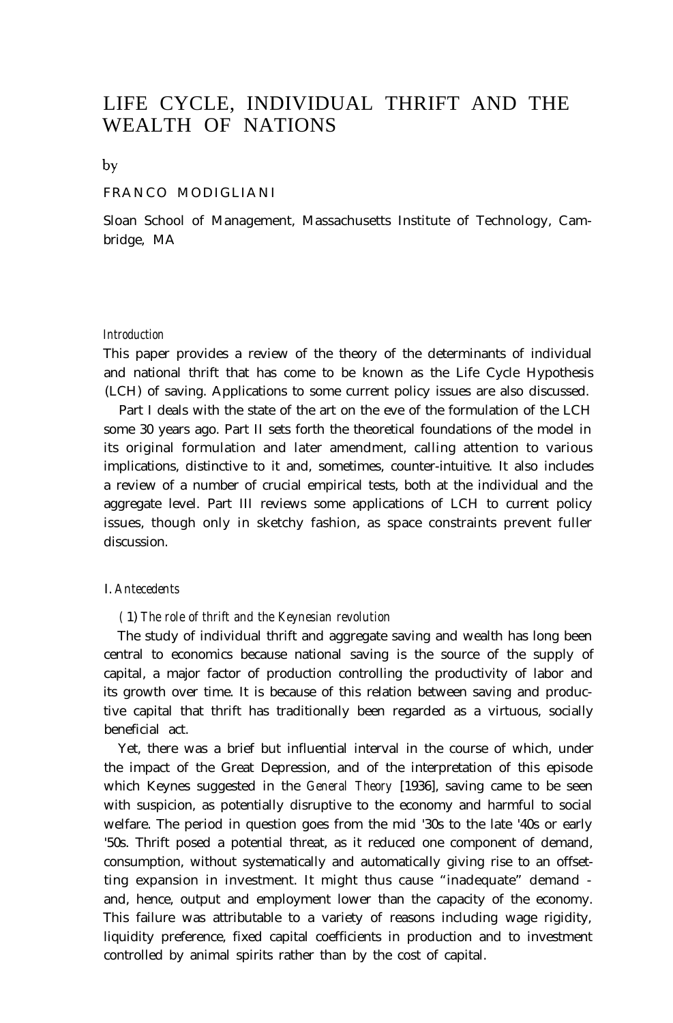# LIFE CYCLE, INDIVIDUAL THRIFT AND THE WEALTH OF NATIONS

by

## FRANCO MODIGLIANI

Sloan School of Management, Massachusetts Institute of Technology, Cambridge, MA

## *Introduction*

This paper provides a review of the theory of the determinants of individual and national thrift that has come to be known as the Life Cycle Hypothesis (LCH) of saving. Applications to some current policy issues are also discussed.

Part I deals with the state of the art on the eve of the formulation of the LCH some 30 years ago. Part II sets forth the theoretical foundations of the model in its original formulation and later amendment, calling attention to various implications, distinctive to it and, sometimes, counter-intuitive. It also includes a review of a number of crucial empirical tests, both at the individual and the aggregate level. Part III reviews some applications of LCH to current policy issues, though only in sketchy fashion, as space constraints prevent fuller discussion.

#### I. *Antecedents*

## *(* 1) *The role of thrift and the Keynesian revolution*

The study of individual thrift and aggregate saving and wealth has long been central to economics because national saving is the source of the supply of capital, a major factor of production controlling the productivity of labor and its growth over time. It is because of this relation between saving and productive capital that thrift has traditionally been regarded as a virtuous, socially beneficial act.

Yet, there was a brief but influential interval in the course of which, under the impact of the Great Depression, and of the interpretation of this episode which Keynes suggested in the *General Theory* [1936], saving came to be seen with suspicion, as potentially disruptive to the economy and harmful to social welfare. The period in question goes from the mid '30s to the late '40s or early '50s. Thrift posed a potential threat, as it reduced one component of demand, consumption, without systematically and automatically giving rise to an offsetting expansion in investment. It might thus cause "inadequate" demand and, hence, output and employment lower than the capacity of the economy. This failure was attributable to a variety of reasons including wage rigidity, liquidity preference, fixed capital coefficients in production and to investment controlled by animal spirits rather than by the cost of capital.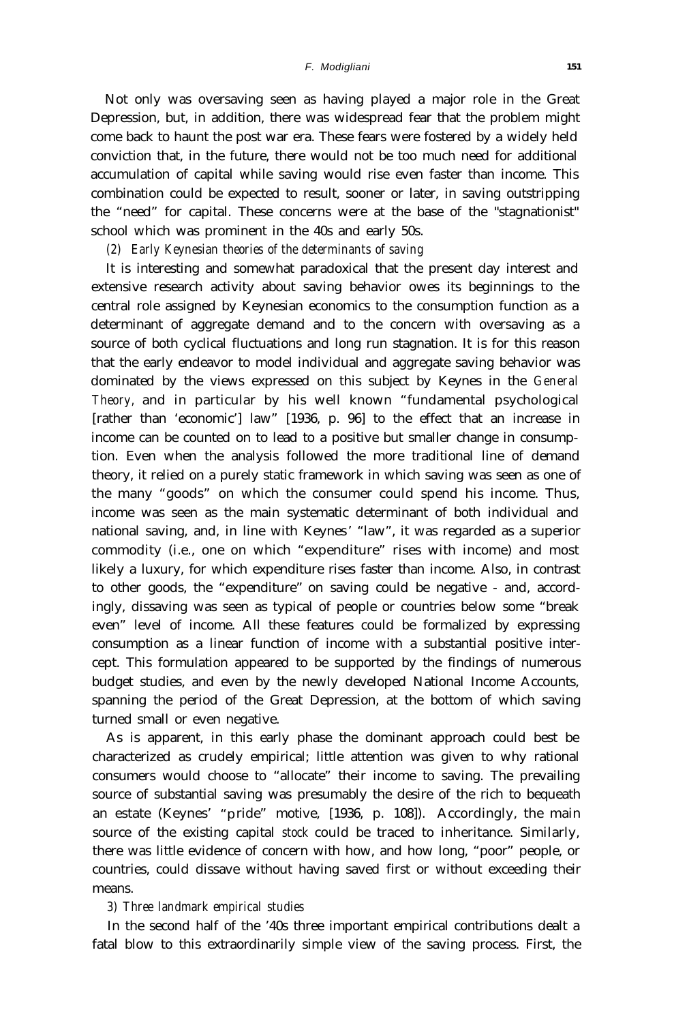Not only was oversaving seen as having played a major role in the Great Depression, but, in addition, there was widespread fear that the problem might come back to haunt the post war era. These fears were fostered by a widely held conviction that, in the future, there would not be too much need for additional accumulation of capital while saving would rise even faster than income. This combination could be expected to result, sooner or later, in saving outstripping the "need" for capital. These concerns were at the base of the "stagnationist" school which was prominent in the 40s and early 50s.

*(2) Early Keynesian theories of the determinants of saving*

It is interesting and somewhat paradoxical that the present day interest and extensive research activity about saving behavior owes its beginnings to the central role assigned by Keynesian economics to the consumption function as a determinant of aggregate demand and to the concern with oversaving as a source of both cyclical fluctuations and long run stagnation. It is for this reason that the early endeavor to model individual and aggregate saving behavior was dominated by the views expressed on this subject by Keynes in the *General Theory,* and in particular by his well known "fundamental psychological [rather than 'economic'] law" [1936, p. 96] to the effect that an increase in income can be counted on to lead to a positive but smaller change in consumption. Even when the analysis followed the more traditional line of demand theory, it relied on a purely static framework in which saving was seen as one of the many "goods" on which the consumer could spend his income. Thus, income was seen as the main systematic determinant of both individual and national saving, and, in line with Keynes' "law", it was regarded as a superior commodity (i.e., one on which "expenditure" rises with income) and most likely a luxury, for which expenditure rises faster than income. Also, in contrast to other goods, the "expenditure" on saving could be negative - and, accordingly, dissaving was seen as typical of people or countries below some "break even" level of income. All these features could be formalized by expressing consumption as a linear function of income with a substantial positive intercept. This formulation appeared to be supported by the findings of numerous budget studies, and even by the newly developed National Income Accounts, spanning the period of the Great Depression, at the bottom of which saving turned small or even negative.

As is apparent, in this early phase the dominant approach could best be characterized as crudely empirical; little attention was given to why rational consumers would choose to "allocate" their income to saving. The prevailing source of substantial saving was presumably the desire of the rich to bequeath an estate (Keynes' "pride" motive, [1936, p. 108]). Accordingly, the main source of the existing capital *stock* could be traced to inheritance. Similarly, there was little evidence of concern with how, and how long, "poor" people, or countries, could dissave without having saved first or without exceeding their means.

#### *3) Three landmark empirical studies*

In the second half of the '40s three important empirical contributions dealt a fatal blow to this extraordinarily simple view of the saving process. First, the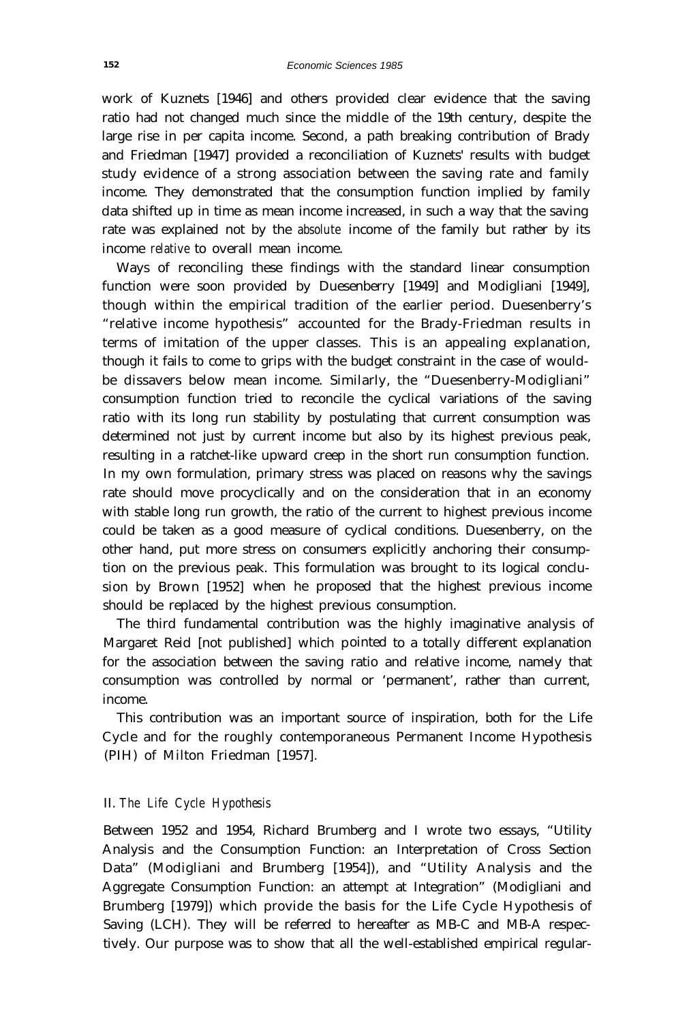work of Kuznets [1946] and others provided clear evidence that the saving ratio had not changed much since the middle of the 19th century, despite the large rise in per capita income. Second, a path breaking contribution of Brady and Friedman [1947] provided a reconciliation of Kuznets' results with budget study evidence of a strong association between the saving rate and family income. They demonstrated that the consumption function implied by family data shifted up in time as mean income increased, in such a way that the saving rate was explained not by the *absolute* income of the family but rather by its income *relative* to overall mean income.

Ways of reconciling these findings with the standard linear consumption function were soon provided by Duesenberry [1949] and Modigliani [1949], though within the empirical tradition of the earlier period. Duesenberry's "relative income hypothesis" accounted for the Brady-Friedman results in terms of imitation of the upper classes. This is an appealing explanation, though it fails to come to grips with the budget constraint in the case of wouldbe dissavers below mean income. Similarly, the "Duesenberry-Modigliani" consumption function tried to reconcile the cyclical variations of the saving ratio with its long run stability by postulating that current consumption was determined not just by current income but also by its highest previous peak, resulting in a ratchet-like upward creep in the short run consumption function. In my own formulation, primary stress was placed on reasons why the savings rate should move procyclically and on the consideration that in an economy with stable long run growth, the ratio of the current to highest previous income could be taken as a good measure of cyclical conditions. Duesenberry, on the other hand, put more stress on consumers explicitly anchoring their consumption on the previous peak. This formulation was brought to its logical conclusion by Brown [1952] when he proposed that the highest previous income should be replaced by the highest previous consumption.

The third fundamental contribution was the highly imaginative analysis of Margaret Reid [not published] which pointed to a totally different explanation for the association between the saving ratio and relative income, namely that consumption was controlled by normal or 'permanent', rather than current, income.

This contribution was an important source of inspiration, both for the Life Cycle and for the roughly contemporaneous Permanent Income Hypothesis (PIH) of Milton Friedman [1957].

## II. *The Life Cycle Hypothesis*

Between 1952 and 1954, Richard Brumberg and I wrote two essays, "Utility Analysis and the Consumption Function: an Interpretation of Cross Section Data" (Modigliani and Brumberg [1954]), and "Utility Analysis and the Aggregate Consumption Function: an attempt at Integration" (Modigliani and Brumberg [1979]) which provide the basis for the Life Cycle Hypothesis of Saving (LCH). They will be referred to hereafter as MB-C and MB-A respectively. Our purpose was to show that all the well-established empirical regular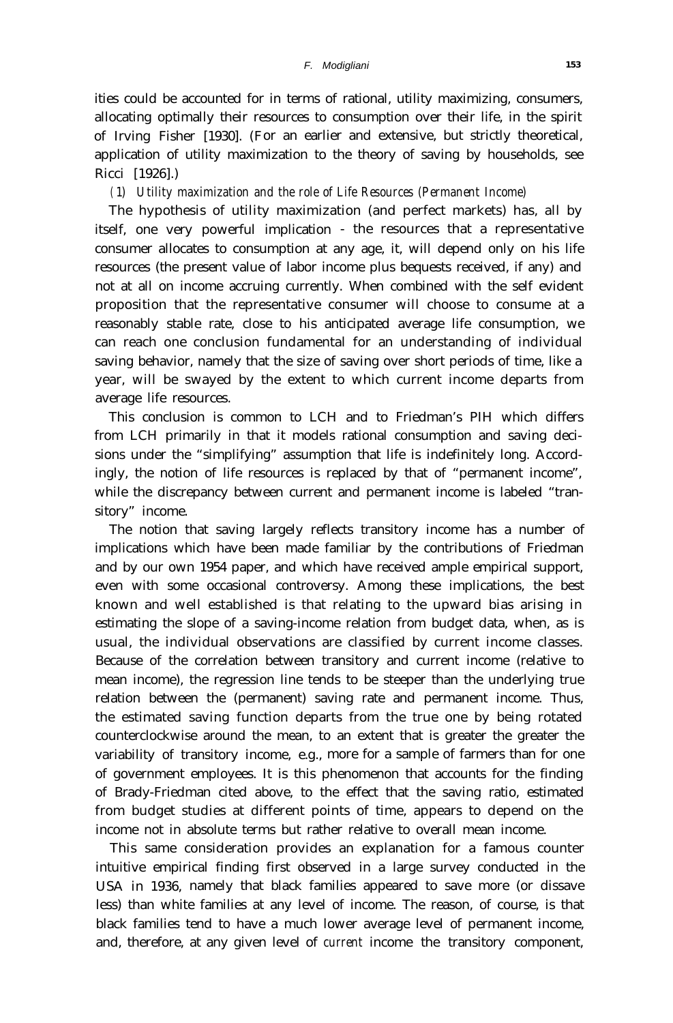ities could be accounted for in terms of rational, utility maximizing, consumers, allocating optimally their resources to consumption over their life, in the spirit of Irving Fisher [1930]. (For an earlier and extensive, but strictly theoretical, application of utility maximization to the theory of saving by households, see Ricci [1926].)

*(* 1) *Utility maximization and the role of Life Resources (Permanent Income)*

The hypothesis of utility maximization (and perfect markets) has, all by itself, one very powerful implication - the resources that a representative consumer allocates to consumption at any age, it, will depend only on his life resources (the present value of labor income plus bequests received, if any) and not at all on income accruing currently. When combined with the self evident proposition that the representative consumer will choose to consume at a reasonably stable rate, close to his anticipated average life consumption, we can reach one conclusion fundamental for an understanding of individual saving behavior, namely that the size of saving over short periods of time, like a year, will be swayed by the extent to which current income departs from average life resources.

This conclusion is common to LCH and to Friedman's PIH which differs from LCH primarily in that it models rational consumption and saving decisions under the "simplifying" assumption that life is indefinitely long. Accordingly, the notion of life resources is replaced by that of "permanent income", while the discrepancy between current and permanent income is labeled "transitory" income.

The notion that saving largely reflects transitory income has a number of implications which have been made familiar by the contributions of Friedman and by our own 1954 paper, and which have received ample empirical support, even with some occasional controversy. Among these implications, the best known and well established is that relating to the upward bias arising in estimating the slope of a saving-income relation from budget data, when, as is usual, the individual observations are classified by current income classes. Because of the correlation between transitory and current income (relative to mean income), the regression line tends to be steeper than the underlying true relation between the (permanent) saving rate and permanent income. Thus, the estimated saving function departs from the true one by being rotated counterclockwise around the mean, to an extent that is greater the greater the variability of transitory income, e.g., more for a sample of farmers than for one of government employees. It is this phenomenon that accounts for the finding of Brady-Friedman cited above, to the effect that the saving ratio, estimated from budget studies at different points of time, appears to depend on the income not in absolute terms but rather relative to overall mean income.

This same consideration provides an explanation for a famous counter intuitive empirical finding first observed in a large survey conducted in the USA in 1936, namely that black families appeared to save more (or dissave less) than white families at any level of income. The reason, of course, is that black families tend to have a much lower average level of permanent income, and, therefore, at any given level of *current* income the transitory component,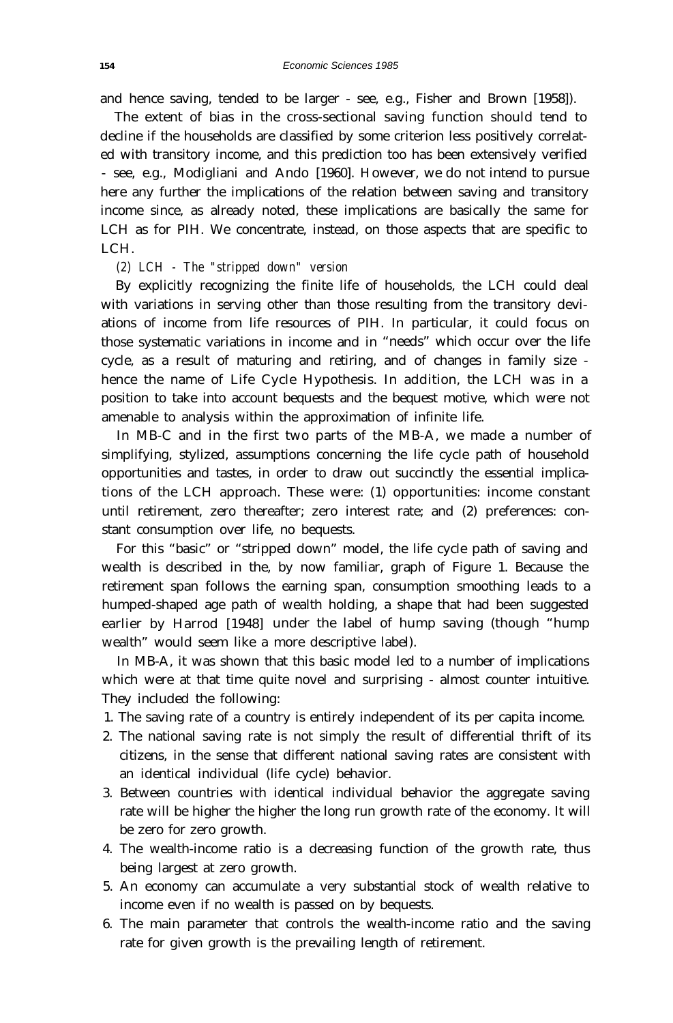and hence saving, tended to be larger - see, e.g., Fisher and Brown [1958]).

The extent of bias in the cross-sectional saving function should tend to decline if the households are classified by some criterion less positively correlated with transitory income, and this prediction too has been extensively verified - see, e.g., Modigliani and Ando [1960]. However, we do not intend to pursue here any further the implications of the relation between saving and transitory income since, as already noted, these implications are basically the same for LCH as for PIH. We concentrate, instead, on those aspects that are specific to LCH.

*(2) LCH - The "stripped down" version*

By explicitly recognizing the finite life of households, the LCH could deal with variations in serving other than those resulting from the transitory deviations of income from life resources of PIH. In particular, it could focus on those systematic variations in income and in "needs" which occur over the life cycle, as a result of maturing and retiring, and of changes in family size hence the name of Life Cycle Hypothesis. In addition, the LCH was in a position to take into account bequests and the bequest motive, which were not amenable to analysis within the approximation of infinite life.

In MB-C and in the first two parts of the MB-A, we made a number of simplifying, stylized, assumptions concerning the life cycle path of household opportunities and tastes, in order to draw out succinctly the essential implications of the LCH approach. These were: (1) opportunities: income constant until retirement, zero thereafter; zero interest rate; and (2) preferences: constant consumption over life, no bequests.

For this "basic" or "stripped down" model, the life cycle path of saving and wealth is described in the, by now familiar, graph of Figure 1. Because the retirement span follows the earning span, consumption smoothing leads to a humped-shaped age path of wealth holding, a shape that had been suggested earlier by Harrod [1948] under the label of hump saving (though "hump wealth" would seem like a more descriptive label).

In MB-A, it was shown that this basic model led to a number of implications which were at that time quite novel and surprising - almost counter intuitive. They included the following:

- 1. The saving rate of a country is entirely independent of its per capita income.
- 2. The national saving rate is not simply the result of differential thrift of its citizens, in the sense that different national saving rates are consistent with an identical individual (life cycle) behavior.
- 3. Between countries with identical individual behavior the aggregate saving rate will be higher the higher the long run growth rate of the economy. It will be zero for zero growth.
- 4. The wealth-income ratio is a decreasing function of the growth rate, thus being largest at zero growth.
- 5. An economy can accumulate a very substantial stock of wealth relative to income even if no wealth is passed on by bequests.
- 6. The main parameter that controls the wealth-income ratio and the saving rate for given growth is the prevailing length of retirement.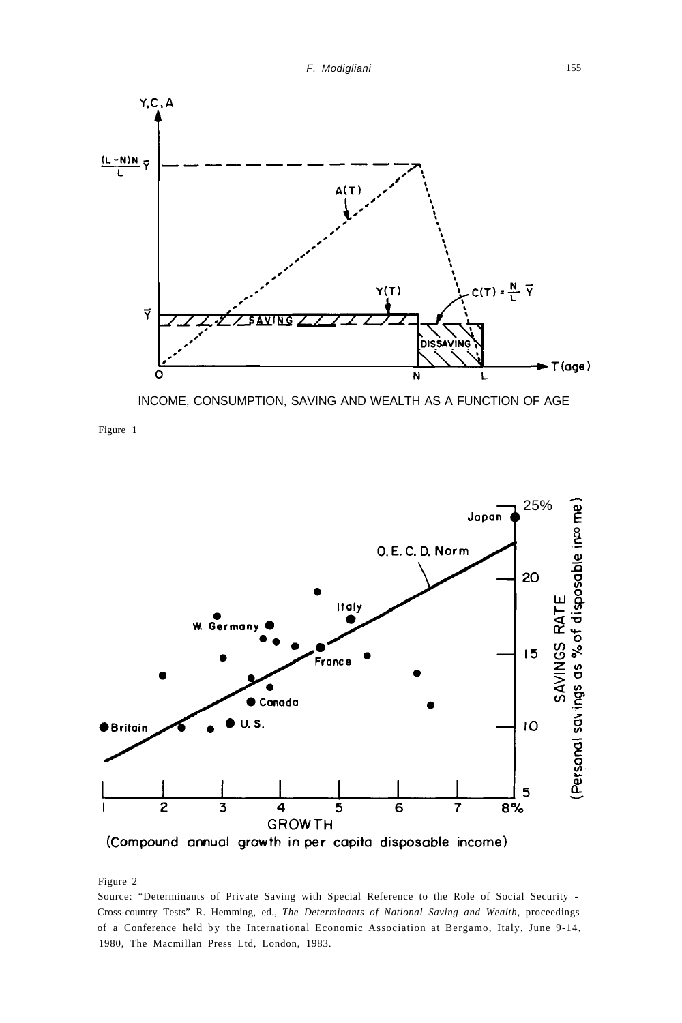

INCOME, CONSUMPTION, SAVING AND WEALTH AS A FUNCTION OF AGE

Figure 1



Figure 2

Source: "Determinants of Private Saving with Special Reference to the Role of Social Security - Cross-country Tests" R. Hemming, ed., *The Determinants of National Saving and Wealth,* proceedings of a Conference held by the International Economic Association at Bergamo, Italy, June 9-14, 1980, The Macmillan Press Ltd, London, 1983.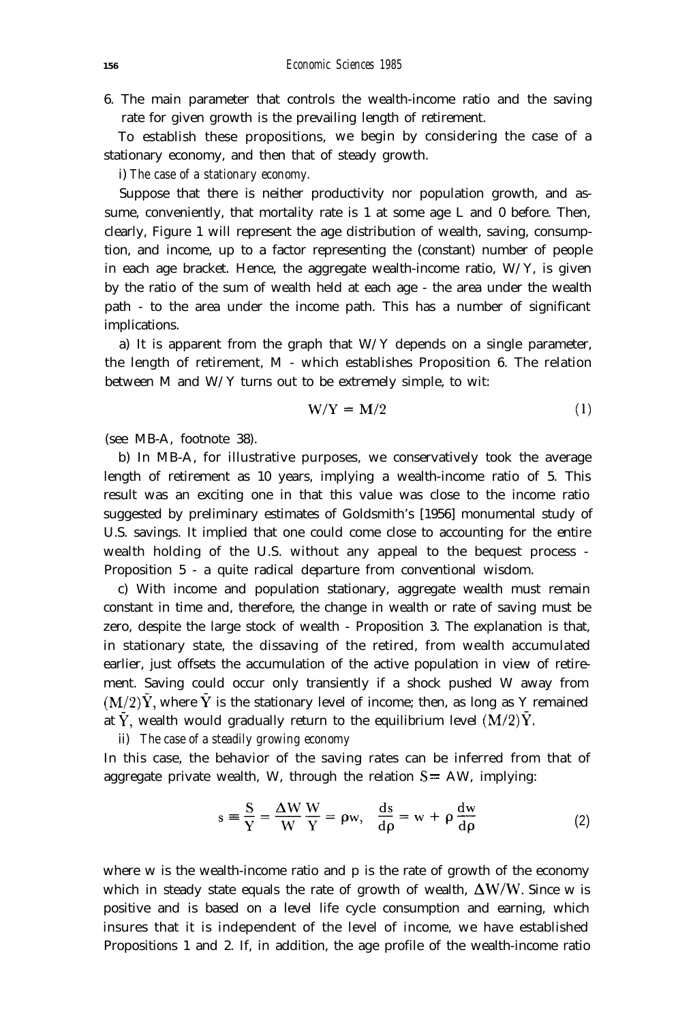6. The main parameter that controls the wealth-income ratio and the saving rate for given growth is the prevailing length of retirement.

To establish these propositions, we begin by considering the case of a stationary economy, and then that of steady growth.

i) *The case of a stationary economy.*

Suppose that there is neither productivity nor population growth, and assume, conveniently, that mortality rate is 1 at some age L and 0 before. Then, clearly, Figure 1 will represent the age distribution of wealth, saving, consumption, and income, up to a factor representing the (constant) number of people in each age bracket. Hence, the aggregate wealth-income ratio,  $W/Y$ , is given by the ratio of the sum of wealth held at each age - the area under the wealth path - to the area under the income path. This has a number of significant implications.

a) It is apparent from the graph that  $W/Y$  depends on a single parameter, the length of retirement, M - which establishes Proposition 6. The relation between M and W/Y turns out to be extremely simple, to wit:

$$
W/Y = M/2 \tag{1}
$$

(see MB-A, footnote 38).

b) In MB-A, for illustrative purposes, we conservatively took the average length of retirement as 10 years, implying a wealth-income ratio of 5. This result was an exciting one in that this value was close to the income ratio suggested by preliminary estimates of Goldsmith's [1956] monumental study of U.S. savings. It implied that one could come close to accounting for the entire wealth holding of the U.S. without any appeal to the bequest process - Proposition 5 - a quite radical departure from conventional wisdom.

c) With income and population stationary, aggregate wealth must remain constant in time and, therefore, the change in wealth or rate of saving must be zero, despite the large stock of wealth - Proposition 3. The explanation is that, in stationary state, the dissaving of the retired, from wealth accumulated earlier, just offsets the accumulation of the active population in view of retirement. Saving could occur only transiently if a shock pushed W away from  $(M/2)Y$ , where Y is the stationary level of income; then, as long as Y remained at Y, wealth would gradually return to the equilibrium level  $(M/2)Y$ .

ii) *The case of a steadily growing economy*

In this case, the behavior of the saving rates can be inferred from that of aggregate private wealth, W, through the relation  $S = AW$ , implying:

$$
s \equiv \frac{S}{Y} = \frac{\Delta W}{W} \frac{W}{Y} = \rho w, \quad \frac{ds}{d\rho} = w + \rho \frac{dw}{d\rho}
$$
 (2)

where w is the wealth-income ratio and p is the rate of growth of the economy which in steady state equals the rate of growth of wealth,  $\Delta W/W$ . Since w is positive and is based on a level life cycle consumption and earning, which insures that it is independent of the level of income, we have established Propositions 1 and 2. If, in addition, the age profile of the wealth-income ratio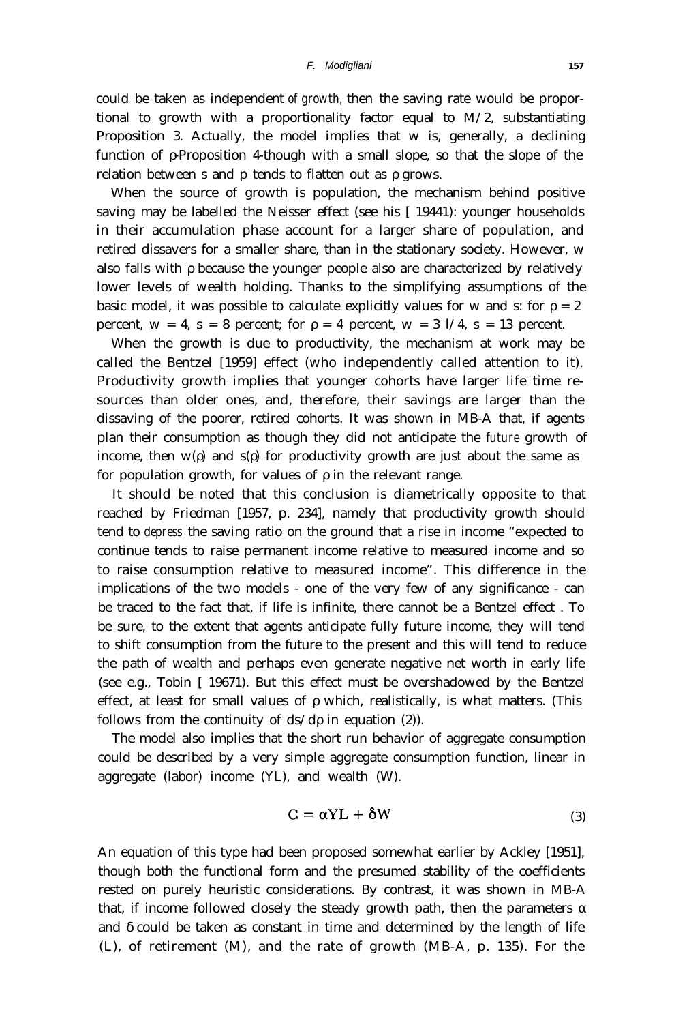could be taken as independent *of growth,* then the saving rate would be proportional to growth with a proportionality factor equal to M/2, substantiating Proposition 3. Actually, the model implies that w is, generally, a declining function of ρ-Proposition 4-though with a small slope, so that the slope of the relation between s and p tends to flatten out as ρ grows.

When the source of growth is population, the mechanism behind positive saving may be labelled the Neisser effect (see his [ 19441): younger households in their accumulation phase account for a larger share of population, and retired dissavers for a smaller share, than in the stationary society. However, w also falls with ρ because the younger people also are characterized by relatively lower levels of wealth holding. Thanks to the simplifying assumptions of the basic model, it was possible to calculate explicitly values for w and s: for  $\rho = 2$ percent,  $w = 4$ ,  $s = 8$  percent; for  $\rho = 4$  percent,  $w = 3 \frac{1}{4}$ ,  $s = 13$  percent.

When the growth is due to productivity, the mechanism at work may be called the Bentzel [1959] effect (who independently called attention to it). Productivity growth implies that younger cohorts have larger life time resources than older ones, and, therefore, their savings are larger than the dissaving of the poorer, retired cohorts. It was shown in MB-A that, if agents plan their consumption as though they did not anticipate the *future* growth of income, then  $w(\rho)$  and  $s(\rho)$  for productivity growth are just about the same as for population growth, for values of ρ in the relevant range.

It should be noted that this conclusion is diametrically opposite to that reached by Friedman [1957, p. 234], namely that productivity growth should tend to *depress* the saving ratio on the ground that a rise in income "expected to continue tends to raise permanent income relative to measured income and so to raise consumption relative to measured income". This difference in the implications of the two models - one of the very few of any significance - can be traced to the fact that, if life is infinite, there cannot be a Bentzel effect . To be sure, to the extent that agents anticipate fully future income, they will tend to shift consumption from the future to the present and this will tend to reduce the path of wealth and perhaps even generate negative net worth in early life (see e.g., Tobin [ 19671). But this effect must be overshadowed by the Bentzel effect, at least for small values of ρ which, realistically, is what matters. (This follows from the continuity of  $ds/d\rho$  in equation (2)).

The model also implies that the short run behavior of aggregate consumption could be described by a very simple aggregate consumption function, linear in aggregate (labor) income (YL), and wealth (W).

$$
C = \alpha Y L + \delta W \tag{3}
$$

An equation of this type had been proposed somewhat earlier by Ackley [1951], though both the functional form and the presumed stability of the coefficients rested on purely heuristic considerations. By contrast, it was shown in MB-A that, if income followed closely the steady growth path, then the parameters  $\alpha$ and δ could be taken as constant in time and determined by the length of life (L), of retirement (M), and the rate of growth (MB-A, p. 135). For the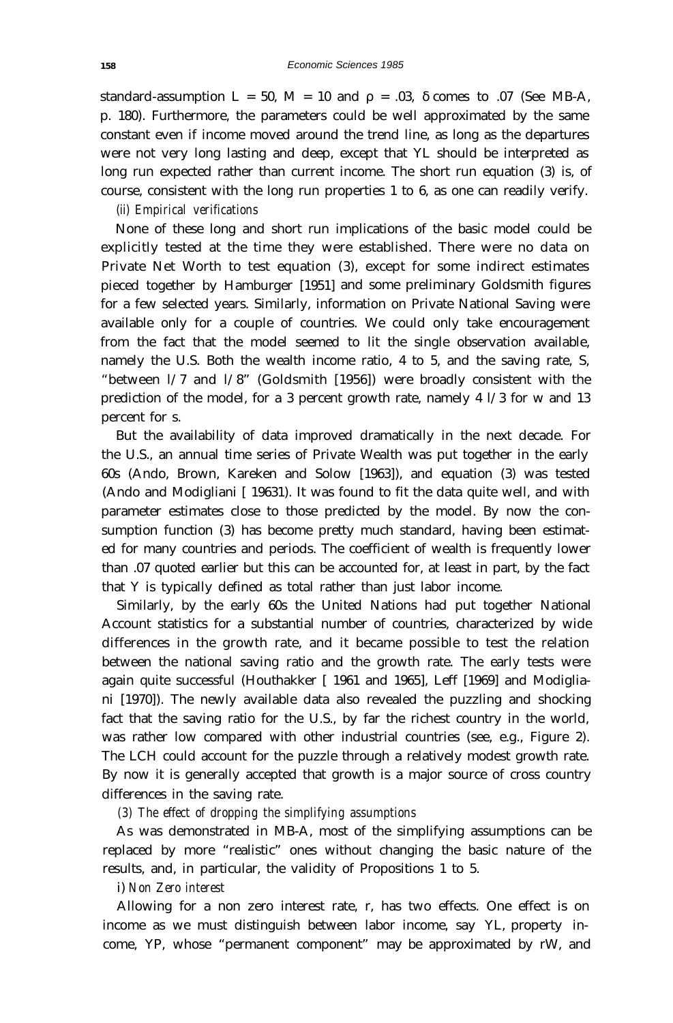standard-assumption L = 50, M = 10 and  $\rho$  = .03,  $\delta$  comes to .07 (See MB-A, p. 180). Furthermore, the parameters could be well approximated by the same constant even if income moved around the trend line, as long as the departures were not very long lasting and deep, except that YL should be interpreted as long run expected rather than current income. The short run equation (3) is, of course, consistent with the long run properties 1 to 6, as one can readily verify.

(ii) *Empirical verifications*

None of these long and short run implications of the basic model could be explicitly tested at the time they were established. There were no data on Private Net Worth to test equation (3), except for some indirect estimates pieced together by Hamburger [1951] and some preliminary Goldsmith figures for a few selected years. Similarly, information on Private National Saving were available only for a couple of countries. We could only take encouragement from the fact that the model seemed to lit the single observation available, namely the U.S. Both the wealth income ratio, 4 to 5, and the saving rate, S, "between  $1/7$  and  $1/8$ " (Goldsmith [1956]) were broadly consistent with the prediction of the model, for a 3 percent growth rate, namely 4 l/3 for w and 13 percent for s.

But the availability of data improved dramatically in the next decade. For the U.S., an annual time series of Private Wealth was put together in the early 60s (Ando, Brown, Kareken and Solow [1963]), and equation (3) was tested (Ando and Modigliani [ 19631). It was found to fit the data quite well, and with parameter estimates close to those predicted by the model. By now the consumption function (3) has become pretty much standard, having been estimated for many countries and periods. The coefficient of wealth is frequently lower than .07 quoted earlier but this can be accounted for, at least in part, by the fact that Y is typically defined as total rather than just labor income.

Similarly, by the early 60s the United Nations had put together National Account statistics for a substantial number of countries, characterized by wide differences in the growth rate, and it became possible to test the relation between the national saving ratio and the growth rate. The early tests were again quite successful (Houthakker [ 1961 and 1965], Leff [1969] and Modigliani [1970]). The newly available data also revealed the puzzling and shocking fact that the saving ratio for the U.S., by far the richest country in the world, was rather low compared with other industrial countries (see, e.g., Figure 2). The LCH could account for the puzzle through a relatively modest growth rate. By now it is generally accepted that growth is a major source of cross country differences in the saving rate.

*(3) The effect of dropping the simplifying assumptions*

As was demonstrated in MB-A, most of the simplifying assumptions can be replaced by more "realistic" ones without changing the basic nature of the results, and, in particular, the validity of Propositions 1 to 5.

i) *Non Zero interest*

Allowing for a non zero interest rate, r, has two effects. One effect is on income as we must distinguish between labor income, say YL, property income, YP, whose "permanent component" may be approximated by rW, and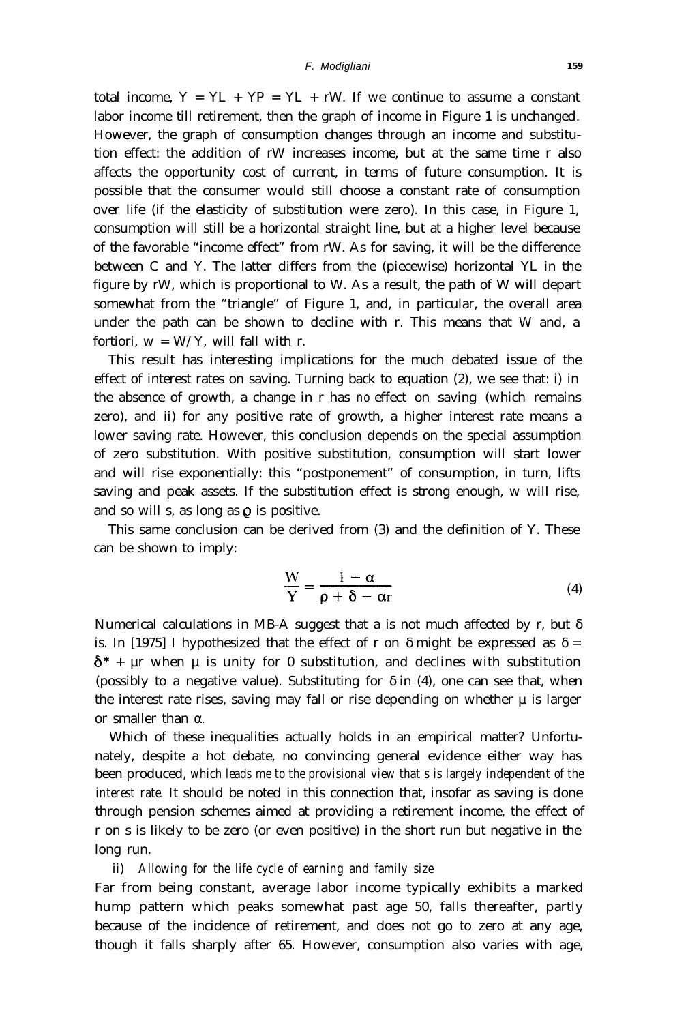total income,  $Y = YL + YP = YL + rW$ . If we continue to assume a constant labor income till retirement, then the graph of income in Figure 1 is unchanged. However, the graph of consumption changes through an income and substitution effect: the addition of rW increases income, but at the same time r also affects the opportunity cost of current, in terms of future consumption. It is possible that the consumer would still choose a constant rate of consumption over life (if the elasticity of substitution were zero). In this case, in Figure 1, consumption will still be a horizontal straight line, but at a higher level because of the favorable "income effect" from rW. As for saving, it will be the difference between C and Y. The latter differs from the (piecewise) horizontal YL in the figure by rW, which is proportional to W. As a result, the path of W will depart somewhat from the "triangle" of Figure 1, and, in particular, the overall area under the path can be shown to decline with r. This means that W and, a fortiori,  $w = W/Y$ , will fall with r.

This result has interesting implications for the much debated issue of the effect of interest rates on saving. Turning back to equation (2), we see that: i) in the absence of growth, a change in r has *no* effect on saving (which remains zero), and ii) for any positive rate of growth, a higher interest rate means a lower saving rate. However, this conclusion depends on the special assumption of zero substitution. With positive substitution, consumption will start lower and will rise exponentially: this "postponement" of consumption, in turn, lifts saving and peak assets. If the substitution effect is strong enough, w will rise, and so will s, as long as  $\rho$  is positive.

This same conclusion can be derived from (3) and the definition of Y. These can be shown to imply:

$$
\frac{W}{Y} = \frac{1 - \alpha}{\rho + \delta - \alpha r}
$$
 (4)

Numerical calculations in MB-A suggest that a is not much affected by r, but  $\delta$ is. In [1975] I hypothesized that the effect of r on  $\delta$  might be expressed as  $\delta$  =  $\delta^*$  +  $\mu$ r when  $\mu$  is unity for 0 substitution, and declines with substitution (possibly to a negative value). Substituting for  $\delta$  in (4), one can see that, when the interest rate rises, saving may fall or rise depending on whether  $\mu$  is larger or smaller than α.

Which of these inequalities actually holds in an empirical matter? Unfortunately, despite a hot debate, no convincing general evidence either way has been produced, *which leads me to the provisional view that s is largely independent of the interest rate.* It should be noted in this connection that, insofar as saving is done through pension schemes aimed at providing a retirement income, the effect of r on s is likely to be zero (or even positive) in the short run but negative in the long run.

#### ii) *Allowing for the life cycle of earning and family size*

Far from being constant, average labor income typically exhibits a marked hump pattern which peaks somewhat past age 50, falls thereafter, partly because of the incidence of retirement, and does not go to zero at any age, though it falls sharply after 65. However, consumption also varies with age,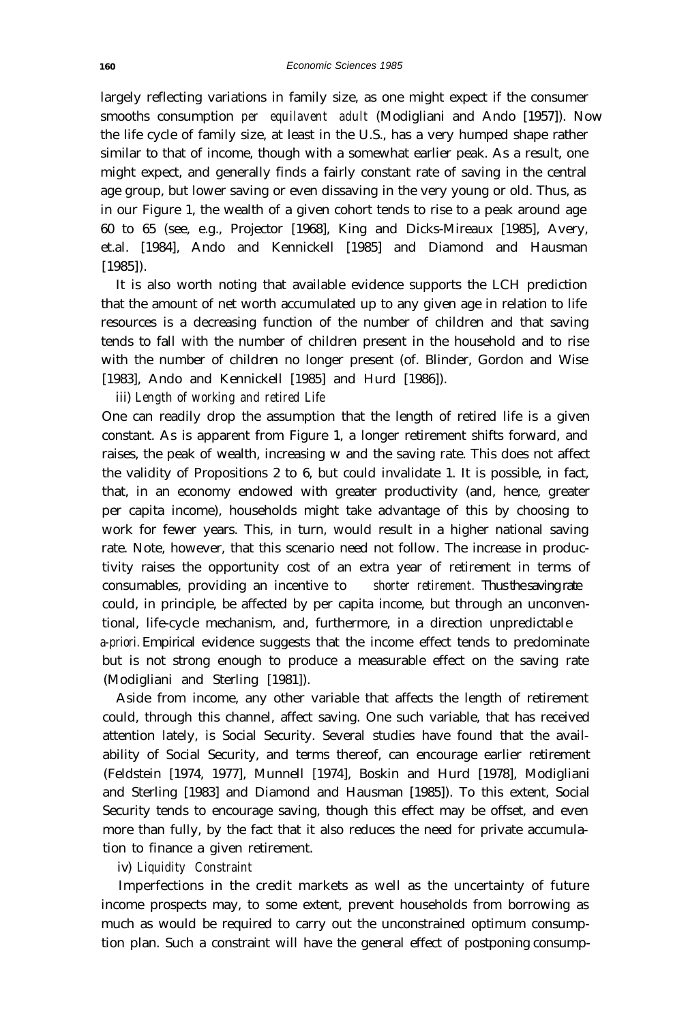largely reflecting variations in family size, as one might expect if the consumer smooths consumption *per equilavent adult* (Modigliani and Ando [1957]). Now the life cycle of family size, at least in the U.S., has a very humped shape rather similar to that of income, though with a somewhat earlier peak. As a result, one might expect, and generally finds a fairly constant rate of saving in the central age group, but lower saving or even dissaving in the very young or old. Thus, as in our Figure 1, the wealth of a given cohort tends to rise to a peak around age 60 to 65 (see, e.g., Projector [1968], King and Dicks-Mireaux [1985], Avery, et.al. [1984], Ando and Kennickell [1985] and Diamond and Hausman [1985]).

It is also worth noting that available evidence supports the LCH prediction that the amount of net worth accumulated up to any given age in relation to life resources is a decreasing function of the number of children and that saving tends to fall with the number of children present in the household and to rise with the number of children no longer present (of. Blinder, Gordon and Wise [1983], Ando and Kennickell [1985] and Hurd [1986]).

iii) *Length of working and retired Life*

One can readily drop the assumption that the length of retired life is a given constant. As is apparent from Figure 1, a longer retirement shifts forward, and raises, the peak of wealth, increasing w and the saving rate. This does not affect the validity of Propositions 2 to 6, but could invalidate 1. It is possible, in fact, that, in an economy endowed with greater productivity (and, hence, greater per capita income), households might take advantage of this by choosing to work for fewer years. This, in turn, would result in a higher national saving rate. Note, however, that this scenario need not follow. The increase in productivity raises the opportunity cost of an extra year of retirement in terms of consumables, providing an incentive to *shorter retirement.* Thus the saving rate could, in principle, be affected by per capita income, but through an unconventional, life-cycle mechanism, and, furthermore, in a direction unpredictable *a-priori.* Empirical evidence suggests that the income effect tends to predominate but is not strong enough to produce a measurable effect on the saving rate (Modigliani and Sterling [1981]).

Aside from income, any other variable that affects the length of retirement could, through this channel, affect saving. One such variable, that has received attention lately, is Social Security. Several studies have found that the availability of Social Security, and terms thereof, can encourage earlier retirement (Feldstein [1974, 1977], Munnell [1974], Boskin and Hurd [1978], Modigliani and Sterling [1983] and Diamond and Hausman [1985]). To this extent, Social Security tends to encourage saving, though this effect may be offset, and even more than fully, by the fact that it also reduces the need for private accumulation to finance a given retirement.

#### iv) *Liquidity Constraint*

Imperfections in the credit markets as well as the uncertainty of future income prospects may, to some extent, prevent households from borrowing as much as would be required to carry out the unconstrained optimum consumption plan. Such a constraint will have the general effect of postponing consump-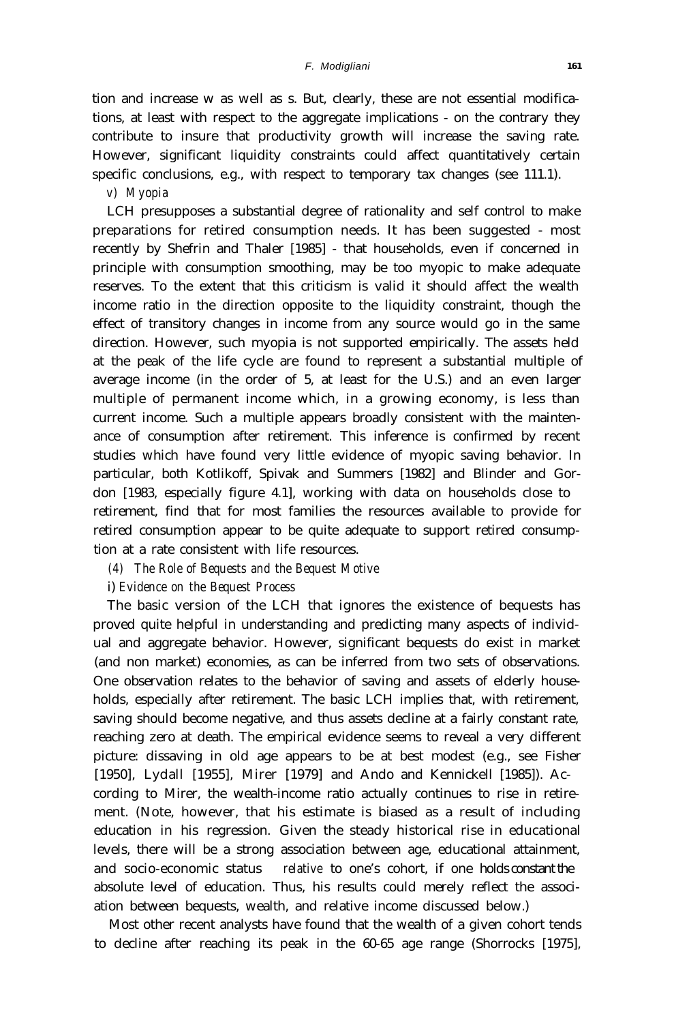tion and increase w as well as s. But, clearly, these are not essential modifications, at least with respect to the aggregate implications - on the contrary they contribute to insure that productivity growth will increase the saving rate. However, significant liquidity constraints could affect quantitatively certain specific conclusions, e.g., with respect to temporary tax changes (see 111.1).

*v) Myopia*

LCH presupposes a substantial degree of rationality and self control to make preparations for retired consumption needs. It has been suggested - most recently by Shefrin and Thaler [1985] - that households, even if concerned in principle with consumption smoothing, may be too myopic to make adequate reserves. To the extent that this criticism is valid it should affect the wealth income ratio in the direction opposite to the liquidity constraint, though the effect of transitory changes in income from any source would go in the same direction. However, such myopia is not supported empirically. The assets held at the peak of the life cycle are found to represent a substantial multiple of average income (in the order of 5, at least for the U.S.) and an even larger multiple of permanent income which, in a growing economy, is less than current income. Such a multiple appears broadly consistent with the maintenance of consumption after retirement. This inference is confirmed by recent studies which have found very little evidence of myopic saving behavior. In particular, both Kotlikoff, Spivak and Summers [1982] and Blinder and Gordon [1983, especially figure 4.1], working with data on households close to retirement, find that for most families the resources available to provide for retired consumption appear to be quite adequate to support retired consumption at a rate consistent with life resources.

*(4) The Role of Bequests and the Bequest Motive*

i) *Evidence on the Bequest Process*

The basic version of the LCH that ignores the existence of bequests has proved quite helpful in understanding and predicting many aspects of individual and aggregate behavior. However, significant bequests do exist in market (and non market) economies, as can be inferred from two sets of observations. One observation relates to the behavior of saving and assets of elderly households, especially after retirement. The basic LCH implies that, with retirement, saving should become negative, and thus assets decline at a fairly constant rate, reaching zero at death. The empirical evidence seems to reveal a very different picture: dissaving in old age appears to be at best modest (e.g., see Fisher [1950], Lydall [1955], Mirer [1979] and Ando and Kennickell [1985]). According to Mirer, the wealth-income ratio actually continues to rise in retirement. (Note, however, that his estimate is biased as a result of including education in his regression. Given the steady historical rise in educational levels, there will be a strong association between age, educational attainment, and socio-economic status *relative* to one's cohort, if one holds constant the absolute level of education. Thus, his results could merely reflect the association between bequests, wealth, and relative income discussed below.)

Most other recent analysts have found that the wealth of a given cohort tends to decline after reaching its peak in the 60-65 age range (Shorrocks [1975],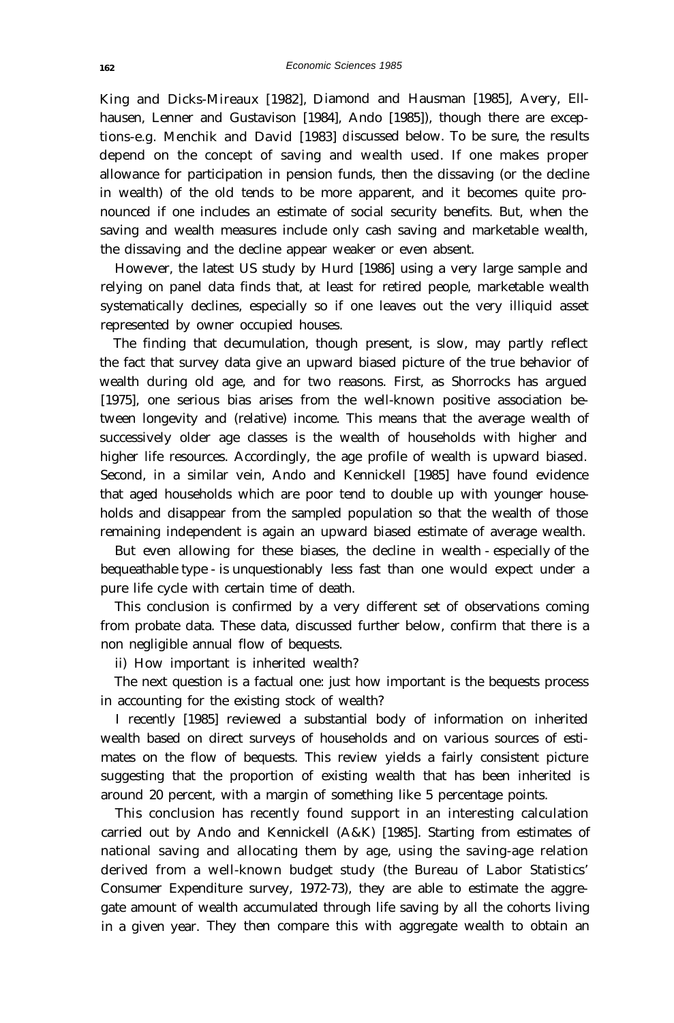King and Dicks-Mireaux [1982], Diamond and Hausman [1985], Avery, Ellhausen, Lenner and Gustavison [1984], Ando [1985]), though there are exceptions-e.g. Menchik and David [1983] discussed below. To be sure, the results depend on the concept of saving and wealth used. If one makes proper allowance for participation in pension funds, then the dissaving (or the decline in wealth) of the old tends to be more apparent, and it becomes quite pronounced if one includes an estimate of social security benefits. But, when the saving and wealth measures include only cash saving and marketable wealth, the dissaving and the decline appear weaker or even absent.

However, the latest US study by Hurd [1986] using a very large sample and relying on panel data finds that, at least for retired people, marketable wealth systematically declines, especially so if one leaves out the very illiquid asset represented by owner occupied houses.

The finding that decumulation, though present, is slow, may partly reflect the fact that survey data give an upward biased picture of the true behavior of wealth during old age, and for two reasons. First, as Shorrocks has argued [1975], one serious bias arises from the well-known positive association between longevity and (relative) income. This means that the average wealth of successively older age classes is the wealth of households with higher and higher life resources. Accordingly, the age profile of wealth is upward biased. Second, in a similar vein, Ando and Kennickell [1985] have found evidence that aged households which are poor tend to double up with younger households and disappear from the sampled population so that the wealth of those remaining independent is again an upward biased estimate of average wealth.

But even allowing for these biases, the decline in wealth - especially of the bequeathable type - is unquestionably less fast than one would expect under a pure life cycle with certain time of death.

This conclusion is confirmed by a very different set of observations coming from probate data. These data, discussed further below, confirm that there is a non negligible annual flow of bequests.

ii) How important is inherited wealth?

The next question is a factual one: just how important is the bequests process in accounting for the existing stock of wealth?

I recently [1985] reviewed a substantial body of information on inherited wealth based on direct surveys of households and on various sources of estimates on the flow of bequests. This review yields a fairly consistent picture suggesting that the proportion of existing wealth that has been inherited is around 20 percent, with a margin of something like 5 percentage points.

This conclusion has recently found support in an interesting calculation carried out by Ando and Kennickell (A&K) [1985]. Starting from estimates of national saving and allocating them by age, using the saving-age relation derived from a well-known budget study (the Bureau of Labor Statistics' Consumer Expenditure survey, 1972-73), they are able to estimate the aggregate amount of wealth accumulated through life saving by all the cohorts living in a given year. They then compare this with aggregate wealth to obtain an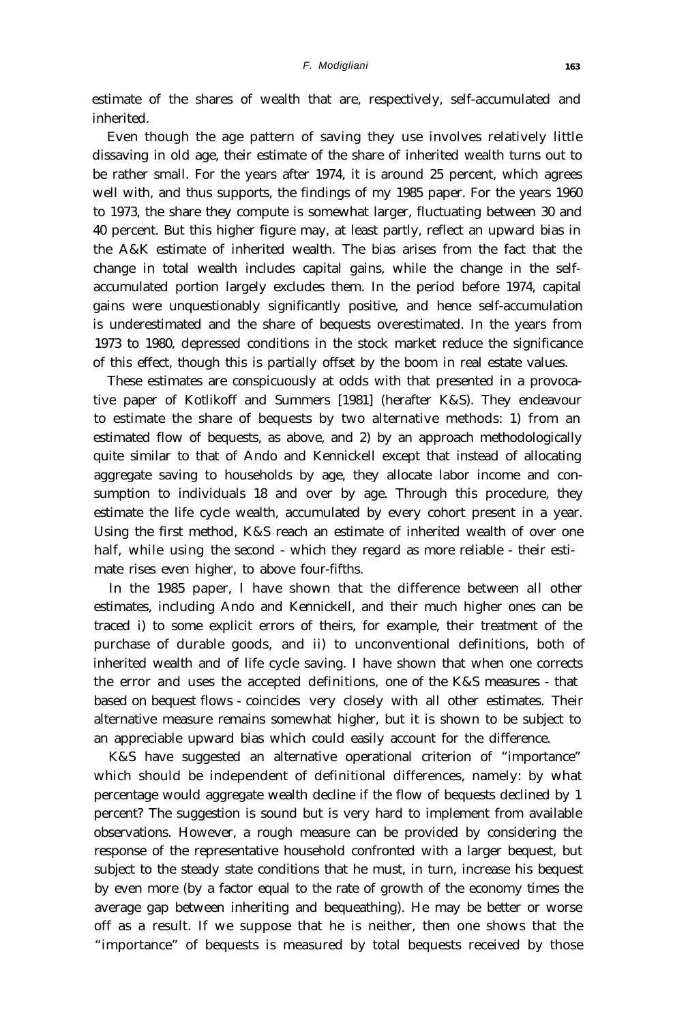estimate of the shares of wealth that are, respectively, self-accumulated and inherited.

Even though the age pattern of saving they use involves relatively little dissaving in old age, their estimate of the share of inherited wealth turns out to be rather small. For the years after 1974, it is around 25 percent, which agrees well with, and thus supports, the findings of my 1985 paper. For the years 1960 to 1973, the share they compute is somewhat larger, fluctuating between 30 and 40 percent. But this higher figure may, at least partly, reflect an upward bias in the A&K estimate of inherited wealth. The bias arises from the fact that the change in total wealth includes capital gains, while the change in the selfaccumulated portion largely excludes them. In the period before 1974, capital gains were unquestionably significantly positive, and hence self-accumulation is underestimated and the share of bequests overestimated. In the years from 1973 to 1980, depressed conditions in the stock market reduce the significance of this effect, though this is partially offset by the boom in real estate values.

These estimates are conspicuously at odds with that presented in a provocative paper of Kotlikoff and Summers [1981] (herafter K&S). They endeavour to estimate the share of bequests by two alternative methods: 1) from an estimated flow of bequests, as above, and 2) by an approach methodologically quite similar to that of Ando and Kennickell except that instead of allocating aggregate saving to households by age, they allocate labor income and consumption to individuals 18 and over by age. Through this procedure, they estimate the life cycle wealth, accumulated by every cohort present in a year. Using the first method, K&S reach an estimate of inherited wealth of over one half, while using the second - which they regard as more reliable - their estimate rises even higher, to above four-fifths.

In the 1985 paper, I have shown that the difference between all other estimates, including Ando and Kennickell, and their much higher ones can be traced i) to some explicit errors of theirs, for example, their treatment of the purchase of durable goods, and ii) to unconventional definitions, both of inherited wealth and of life cycle saving. I have shown that when one corrects the error and uses the accepted definitions, one of the K&S measures - that based on bequest flows - coincides very closely with all other estimates. Their alternative measure remains somewhat higher, but it is shown to be subject to an appreciable upward bias which could easily account for the difference.

K&S have suggested an alternative operational criterion of "importance" which should be independent of definitional differences, namely: by what percentage would aggregate wealth decline if the flow of bequests declined by 1 percent? The suggestion is sound but is very hard to implement from available observations. However, a rough measure can be provided by considering the response of the representative household confronted with a larger bequest, but subject to the steady state conditions that he must, in turn, increase his bequest by even more (by a factor equal to the rate of growth of the economy times the average gap between inheriting and bequeathing). He may be better or worse off as a result. If we suppose that he is neither, then one shows that the "importance" of bequests is measured by total bequests received by those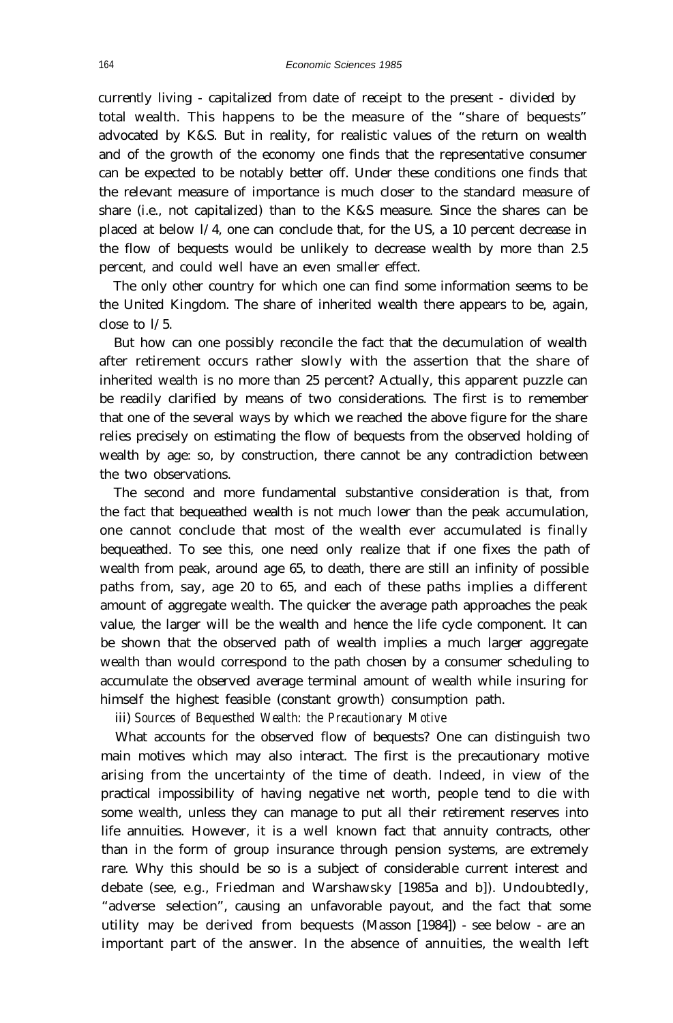currently living - capitalized from date of receipt to the present - divided by total wealth. This happens to be the measure of the "share of bequests" advocated by K&S. But in reality, for realistic values of the return on wealth and of the growth of the economy one finds that the representative consumer can be expected to be notably better off. Under these conditions one finds that the relevant measure of importance is much closer to the standard measure of share (i.e., not capitalized) than to the K&S measure. Since the shares can be placed at below l/4, one can conclude that, for the US, a 10 percent decrease in the flow of bequests would be unlikely to decrease wealth by more than 2.5 percent, and could well have an even smaller effect.

The only other country for which one can find some information seems to be the United Kingdom. The share of inherited wealth there appears to be, again, close to l/5.

But how can one possibly reconcile the fact that the decumulation of wealth after retirement occurs rather slowly with the assertion that the share of inherited wealth is no more than 25 percent? Actually, this apparent puzzle can be readily clarified by means of two considerations. The first is to remember that one of the several ways by which we reached the above figure for the share relies precisely on estimating the flow of bequests from the observed holding of wealth by age: so, by construction, there cannot be any contradiction between the two observations.

The second and more fundamental substantive consideration is that, from the fact that bequeathed wealth is not much lower than the peak accumulation, one cannot conclude that most of the wealth ever accumulated is finally bequeathed. To see this, one need only realize that if one fixes the path of wealth from peak, around age 65, to death, there are still an infinity of possible paths from, say, age 20 to 65, and each of these paths implies a different amount of aggregate wealth. The quicker the average path approaches the peak value, the larger will be the wealth and hence the life cycle component. It can be shown that the observed path of wealth implies a much larger aggregate wealth than would correspond to the path chosen by a consumer scheduling to accumulate the observed average terminal amount of wealth while insuring for himself the highest feasible (constant growth) consumption path.

iii) *Sources of Bequesthed Wealth: the Precautionary Motive*

What accounts for the observed flow of bequests? One can distinguish two main motives which may also interact. The first is the precautionary motive arising from the uncertainty of the time of death. Indeed, in view of the practical impossibility of having negative net worth, people tend to die with some wealth, unless they can manage to put all their retirement reserves into life annuities. However, it is a well known fact that annuity contracts, other than in the form of group insurance through pension systems, are extremely rare. Why this should be so is a subject of considerable current interest and debate (see, e.g., Friedman and Warshawsky [1985a and b]). Undoubtedly, "adverse selection", causing an unfavorable payout, and the fact that some utility may be derived from bequests (Masson [1984]) - see below - are an important part of the answer. In the absence of annuities, the wealth left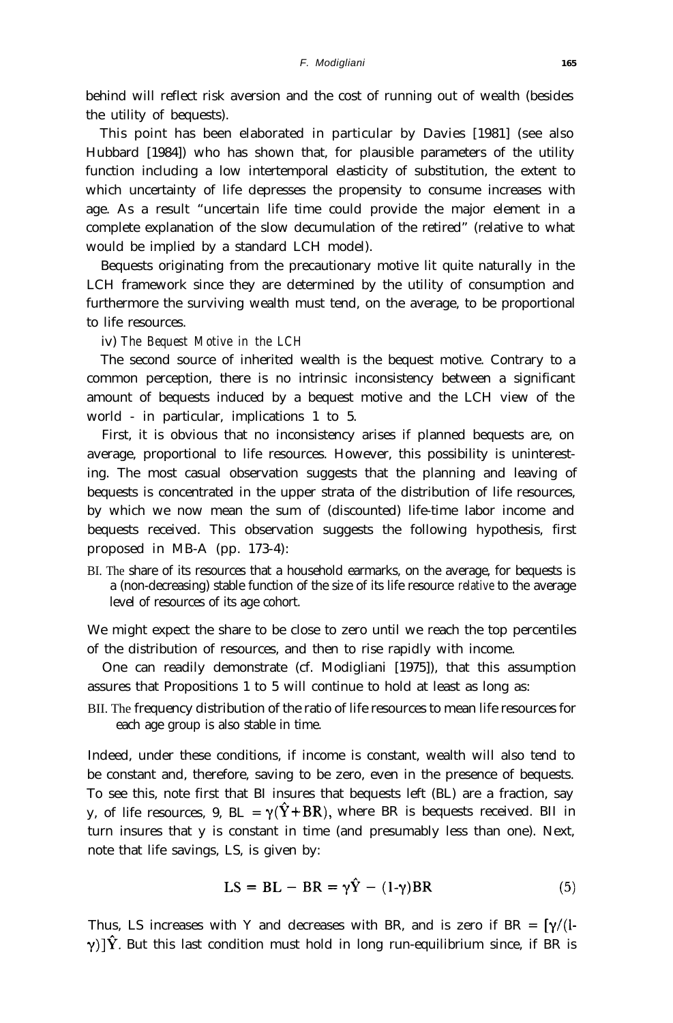behind will reflect risk aversion and the cost of running out of wealth (besides the utility of bequests).

This point has been elaborated in particular by Davies [1981] (see also Hubbard [1984]) who has shown that, for plausible parameters of the utility function including a low intertemporal elasticity of substitution, the extent to which uncertainty of life depresses the propensity to consume increases with age. As a result "uncertain life time could provide the major element in a complete explanation of the slow decumulation of the retired" (relative to what would be implied by a standard LCH model).

Bequests originating from the precautionary motive lit quite naturally in the LCH framework since they are determined by the utility of consumption and furthermore the surviving wealth must tend, on the average, to be proportional to life resources.

iv) *The Bequest Motive in the LCH*

The second source of inherited wealth is the bequest motive. Contrary to a common perception, there is no intrinsic inconsistency between a significant amount of bequests induced by a bequest motive and the LCH view of the world - in particular, implications 1 to 5.

First, it is obvious that no inconsistency arises if planned bequests are, on average, proportional to life resources. However, this possibility is uninteresting. The most casual observation suggests that the planning and leaving of bequests is concentrated in the upper strata of the distribution of life resources, by which we now mean the sum of (discounted) life-time labor income and bequests received. This observation suggests the following hypothesis, first proposed in MB-A (pp. 173-4):

BI. The share of its resources that a household earmarks, on the average, for bequests is a (non-decreasing) stable function of the size of its life resource *relative* to the average level of resources of its age cohort.

We might expect the share to be close to zero until we reach the top percentiles of the distribution of resources, and then to rise rapidly with income.

One can readily demonstrate (cf. Modigliani [1975]), that this assumption assures that Propositions 1 to 5 will continue to hold at least as long as:

BII. The frequency distribution of the ratio of life resources to mean life resources for each age group is also stable in time.

Indeed, under these conditions, if income is constant, wealth will also tend to be constant and, therefore, saving to be zero, even in the presence of bequests. To see this, note first that BI insures that bequests left (BL) are a fraction, say y, of life resources, 9, BL =  $\gamma(\dot{Y}+BR)$ , where BR is bequests received. BII in turn insures that y is constant in time (and presumably less than one). Next, note that life savings, LS, is given by:

$$
LS = BL - BR = \gamma \hat{Y} - (1-\gamma)BR \tag{5}
$$

Thus, LS increases with Y and decreases with BR, and is zero if BR =  $\left[\gamma/(1-\gamma)\right]$  $\gamma$ )] $\hat{Y}$ . But this last condition must hold in long run-equilibrium since, if BR is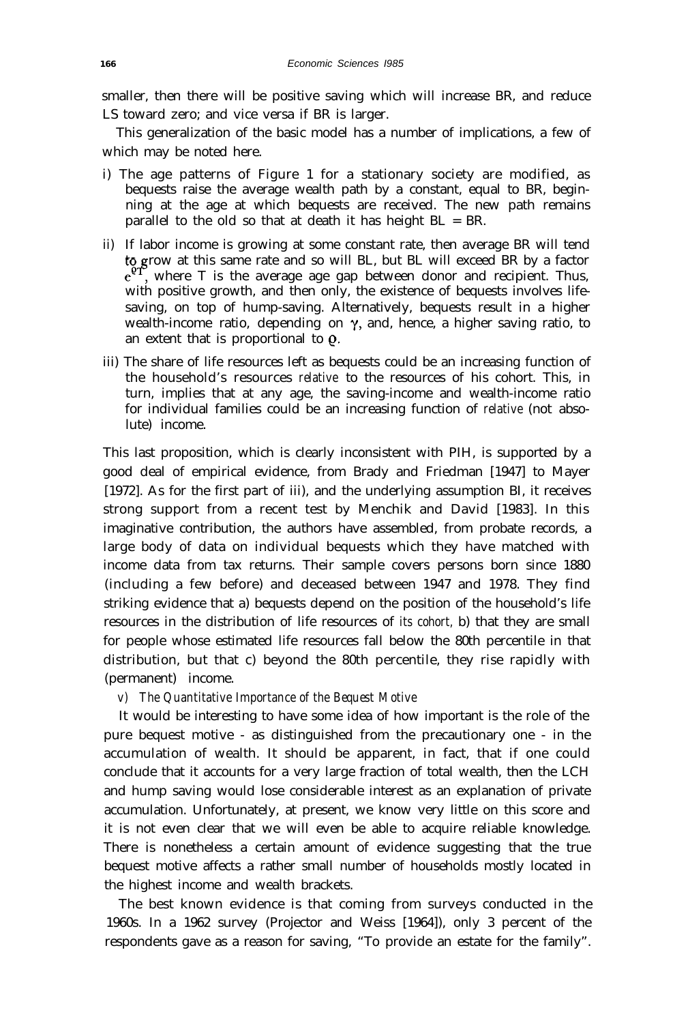smaller, then there will be positive saving which will increase BR, and reduce LS toward zero; and vice versa if BR is larger.

This generalization of the basic model has a number of implications, a few of which may be noted here.

- i) The age patterns of Figure 1 for a stationary society are modified, as bequests raise the average wealth path by a constant, equal to BR, beginning at the age at which bequests are received. The new path remains parallel to the old so that at death it has height BL = BR.
- ii) If labor income is growing at some constant rate, then average BR will tend to grow at this same rate and so will BL, but BL will exceed BR by a factor , where T is the average age gap between donor and recipient. Thus, with positive growth, and then only, the existence of bequests involves lifesaving, on top of hump-saving. Alternatively, bequests result in a higher wealth-income ratio, depending on  $\gamma$ , and, hence, a higher saving ratio, to an extent that is proportional to  $\rho$ .
- iii) The share of life resources left as bequests could be an increasing function of the household's resources *relative* to the resources of his cohort. This, in turn, implies that at any age, the saving-income and wealth-income ratio for individual families could be an increasing function of *relative* (not absolute) income.

This last proposition, which is clearly inconsistent with PIH, is supported by a good deal of empirical evidence, from Brady and Friedman [1947] to Mayer [1972]. As for the first part of iii), and the underlying assumption BI, it receives strong support from a recent test by Menchik and David [1983]. In this imaginative contribution, the authors have assembled, from probate records, a large body of data on individual bequests which they have matched with income data from tax returns. Their sample covers persons born since 1880 (including a few before) and deceased between 1947 and 1978. They find striking evidence that a) bequests depend on the position of the household's life resources in the distribution of life resources of *its cohort,* b) that they are small for people whose estimated life resources fall below the 80th percentile in that distribution, but that c) beyond the 80th percentile, they rise rapidly with (permanent) income.

*v) The Quantitative Importance of the Bequest Motive*

It would be interesting to have some idea of how important is the role of the pure bequest motive - as distinguished from the precautionary one - in the accumulation of wealth. It should be apparent, in fact, that if one could conclude that it accounts for a very large fraction of total wealth, then the LCH and hump saving would lose considerable interest as an explanation of private accumulation. Unfortunately, at present, we know very little on this score and it is not even clear that we will even be able to acquire reliable knowledge. There is nonetheless a certain amount of evidence suggesting that the true bequest motive affects a rather small number of households mostly located in the highest income and wealth brackets.

The best known evidence is that coming from surveys conducted in the 1960s. In a 1962 survey (Projector and Weiss [1964]), only 3 percent of the respondents gave as a reason for saving, "To provide an estate for the family".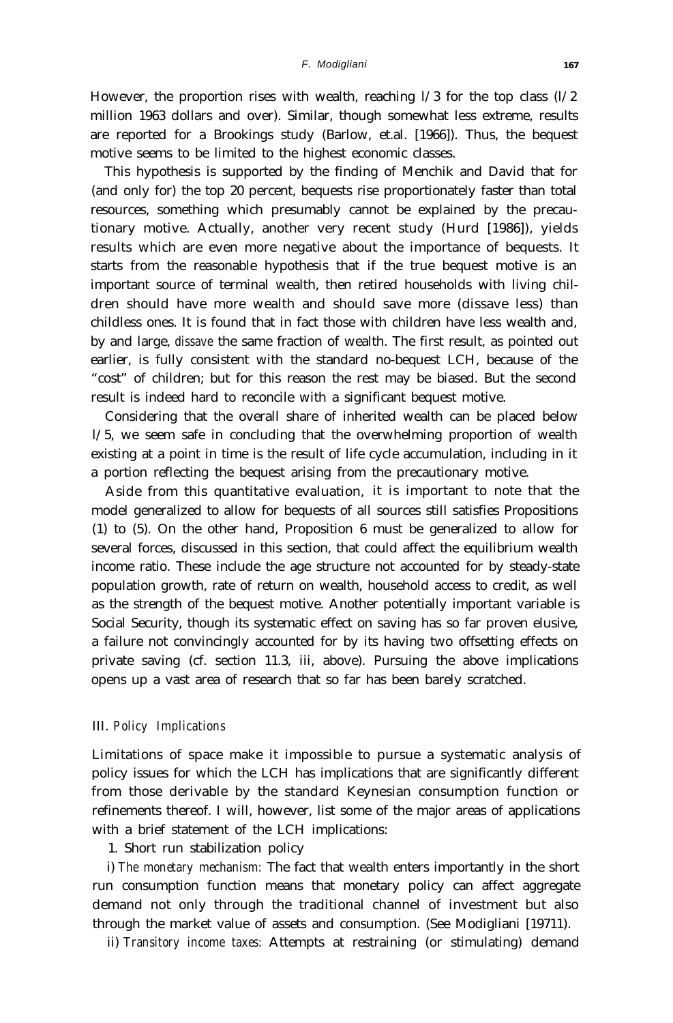However, the proportion rises with wealth, reaching  $1/3$  for the top class  $(1/2)$ million 1963 dollars and over). Similar, though somewhat less extreme, results are reported for a Brookings study (Barlow, et.al. [1966]). Thus, the bequest motive seems to be limited to the highest economic classes.

This hypothesis is supported by the finding of Menchik and David that for (and only for) the top 20 percent, bequests rise proportionately faster than total resources, something which presumably cannot be explained by the precautionary motive. Actually, another very recent study (Hurd [1986]), yields results which are even more negative about the importance of bequests. It starts from the reasonable hypothesis that if the true bequest motive is an important source of terminal wealth, then retired households with living children should have more wealth and should save more (dissave less) than childless ones. It is found that in fact those with children have less wealth and, by and large, *dissave* the same fraction of wealth. The first result, as pointed out earlier, is fully consistent with the standard no-bequest LCH, because of the "cost" of children; but for this reason the rest may be biased. But the second result is indeed hard to reconcile with a significant bequest motive.

Considering that the overall share of inherited wealth can be placed below l/5, we seem safe in concluding that the overwhelming proportion of wealth existing at a point in time is the result of life cycle accumulation, including in it a portion reflecting the bequest arising from the precautionary motive.

Aside from this quantitative evaluation, it is important to note that the model generalized to allow for bequests of all sources still satisfies Propositions (1) to (5). On the other hand, Proposition 6 must be generalized to allow for several forces, discussed in this section, that could affect the equilibrium wealth income ratio. These include the age structure not accounted for by steady-state population growth, rate of return on wealth, household access to credit, as well as the strength of the bequest motive. Another potentially important variable is Social Security, though its systematic effect on saving has so far proven elusive, a failure not convincingly accounted for by its having two offsetting effects on private saving (cf. section 11.3, iii, above). Pursuing the above implications opens up a vast area of research that so far has been barely scratched.

## III. *Policy Implications*

Limitations of space make it impossible to pursue a systematic analysis of policy issues for which the LCH has implications that are significantly different from those derivable by the standard Keynesian consumption function or refinements thereof. I will, however, list some of the major areas of applications with a brief statement of the LCH implications:

1. Short run stabilization policy

i) *The monetary mechanism:* The fact that wealth enters importantly in the short run consumption function means that monetary policy can affect aggregate demand not only through the traditional channel of investment but also through the market value of assets and consumption. (See Modigliani [19711).

ii) *Transitory income taxes:* Attempts at restraining (or stimulating) demand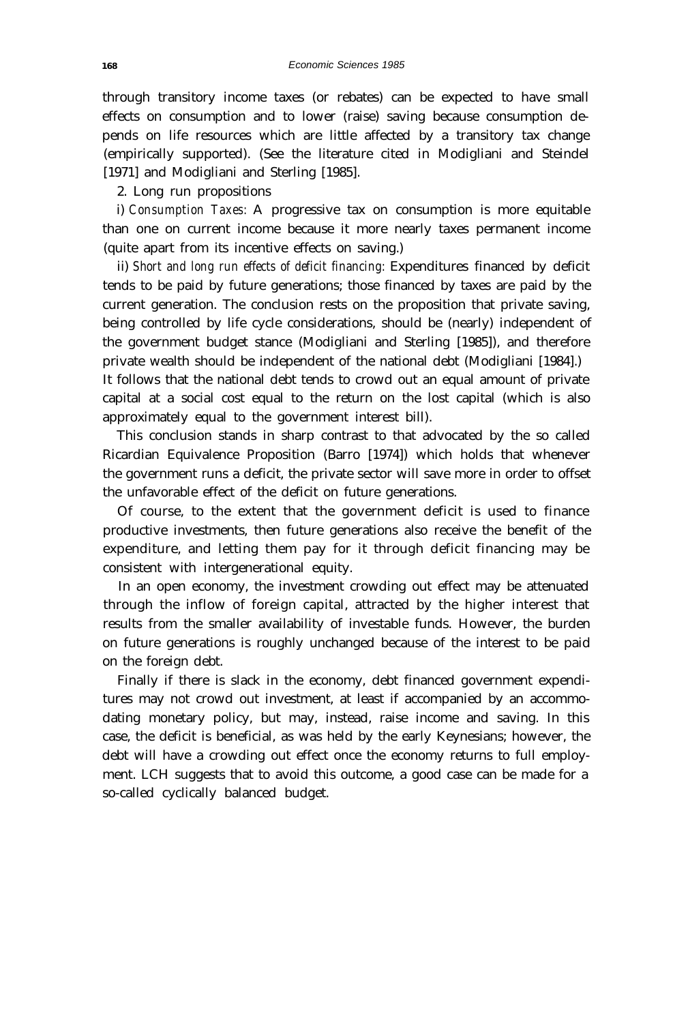through transitory income taxes (or rebates) can be expected to have small effects on consumption and to lower (raise) saving because consumption depends on life resources which are little affected by a transitory tax change (empirically supported). (See the literature cited in Modigliani and Steindel [1971] and Modigliani and Sterling [1985].

2. Long run propositions

i) *Consumption Taxes:* A progressive tax on consumption is more equitable than one on current income because it more nearly taxes permanent income (quite apart from its incentive effects on saving.)

ii) *Short and long run effects of deficit financing:* Expenditures financed by deficit tends to be paid by future generations; those financed by taxes are paid by the current generation. The conclusion rests on the proposition that private saving, being controlled by life cycle considerations, should be (nearly) independent of the government budget stance (Modigliani and Sterling [1985]), and therefore private wealth should be independent of the national debt (Modigliani [1984].) It follows that the national debt tends to crowd out an equal amount of private capital at a social cost equal to the return on the lost capital (which is also approximately equal to the government interest bill).

This conclusion stands in sharp contrast to that advocated by the so called Ricardian Equivalence Proposition (Barro [1974]) which holds that whenever the government runs a deficit, the private sector will save more in order to offset the unfavorable effect of the deficit on future generations.

Of course, to the extent that the government deficit is used to finance productive investments, then future generations also receive the benefit of the expenditure, and letting them pay for it through deficit financing may be consistent with intergenerational equity.

In an open economy, the investment crowding out effect may be attenuated through the inflow of foreign capital, attracted by the higher interest that results from the smaller availability of investable funds. However, the burden on future generations is roughly unchanged because of the interest to be paid on the foreign debt.

Finally if there is slack in the economy, debt financed government expenditures may not crowd out investment, at least if accompanied by an accommodating monetary policy, but may, instead, raise income and saving. In this case, the deficit is beneficial, as was held by the early Keynesians; however, the debt will have a crowding out effect once the economy returns to full employment. LCH suggests that to avoid this outcome, a good case can be made for a so-called cyclically balanced budget.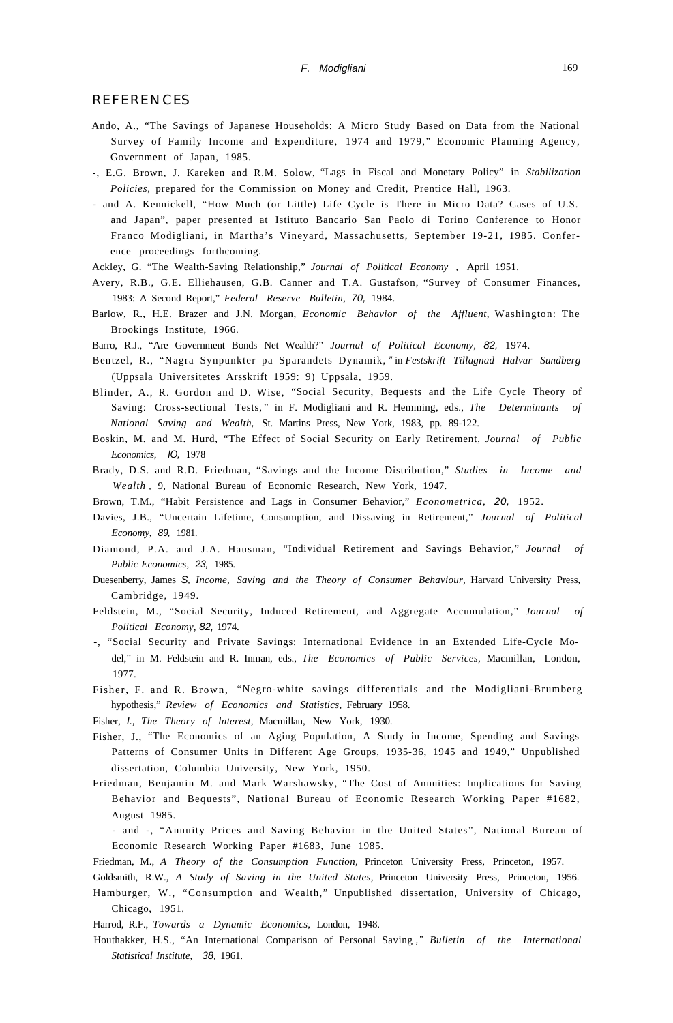#### REFERENCES

- Ando, A., "The Savings of Japanese Households: A Micro Study Based on Data from the National Survey of Family Income and Expenditure, 1974 and 1979," Economic Planning Agency, Government of Japan, 1985.
- -, E.G. Brown, J. Kareken and R.M. Solow, "Lags in Fiscal and Monetary Policy" in *Stabilization Policies*, prepared for the Commission on Money and Credit, Prentice Hall, 1963.
- and A. Kennickell, "How Much (or Little) Life Cycle is There in Micro Data? Cases of U.S. and Japan", paper presented at Istituto Bancario San Paolo di Torino Conference to Honor Franco Modigliani, in Martha's Vineyard, Massachusetts, September 19-21, 1985. Conference proceedings forthcoming.
- Ackley, G. "The Wealth-Saving Relationship," *Journal of Political Economy ,* April 1951.
- Avery, R.B., G.E. Elliehausen, G.B. Canner and T.A. Gustafson, "Survey of Consumer Finances, 1983: A Second Report," *Federal Reserve Bulletin, 70,* 1984.
- Barlow, R., H.E. Brazer and J.N. Morgan, *Economic Behavior of the Affluent,* Washington: The Brookings Institute, 1966.
- Barro, R.J., "Are Government Bonds Net Wealth?" *Journal of Political Economy, 82,* 1974.
- Bentzel, R., "Nagra Synpunkter pa Sparandets Dynamik, *"* in *Festskrift Tillagnad Halvar Sundberg* (Uppsala Universitetes Arsskrift 1959: 9) Uppsala, 1959.
- Blinder, A., R. Gordon and D. Wise, "Social Security, Bequests and the Life Cycle Theory of Saving: Cross-sectional Tests, " in F. Modigliani and R. Hemming, eds., *The Determinants of National Saving and Wealth,* St. Martins Press, New York, 1983, pp. 89-122.
- Boskin, M. and M. Hurd, "The Effect of Social Security on Early Retirement, *Journal of Public Economics, IO,* 1978
- Brady, D.S. and R.D. Friedman, "Savings and the Income Distribution," *Studies in Income and Wealth ,* 9, National Bureau of Economic Research, New York, 1947.
- Brown, T.M., "Habit Persistence and Lags in Consumer Behavior," *Econometrica, 20,* 1952.
- Davies, J.B., "Uncertain Lifetime, Consumption, and Dissaving in Retirement," *Journal of Political Economy, 89,* 1981.
- Diamond, P.A. and J.A. Hausman, "Individual Retirement and Savings Behavior," *Journal of Public Economics, 23,* 1985.
- Duesenberry, James *S, Income, Saving and the Theory of Consumer Behaviour,* Harvard University Press, Cambridge, 1949.
- Feldstein, M., "Social Security, Induced Retirement, and Aggregate Accumulation," *Journal of Political Economy, 82,* 1974.
- -, "Social Security and Private Savings: International Evidence in an Extended Life-Cycle Model," in M. Feldstein and R. Inman, eds., *The Economics of Public Services,* Macmillan, London, 1977.
- Fisher, F. and R. Brown, "Negro-white savings differentials and the Modigliani-Brumberg hypothesis," *Review of Economics and Statistics,* February 1958.
- Fisher, *I., The Theory of lnterest,* Macmillan, New York, 1930.
- Fisher, J., "The Economics of an Aging Population, A Study in Income, Spending and Savings Patterns of Consumer Units in Different Age Groups, 1935-36, 1945 and 1949," Unpublished dissertation, Columbia University, New York, 1950.
- Friedman, Benjamin M. and Mark Warshawsky, "The Cost of Annuities: Implications for Saving Behavior and Bequests", National Bureau of Economic Research Working Paper #1682, August 1985.
	- and -, "Annuity Prices and Saving Behavior in the United States", National Bureau of Economic Research Working Paper #1683, June 1985.
- Friedman, M., *A Theory of the Consumption Function,* Princeton University Press, Princeton, 1957.
- Goldsmith, R.W., *A Study of Saving in the United States,* Princeton University Press, Princeton, 1956.
- Hamburger, W., "Consumption and Wealth," Unpublished dissertation, University of Chicago, Chicago, 1951.

Harrod, R.F., *Towards a Dynamic Economics,* London, 1948.

Houthakker, H.S., "An International Comparison of Personal Saving *," Bulletin of the International Statistical Institute, 38,* 1961.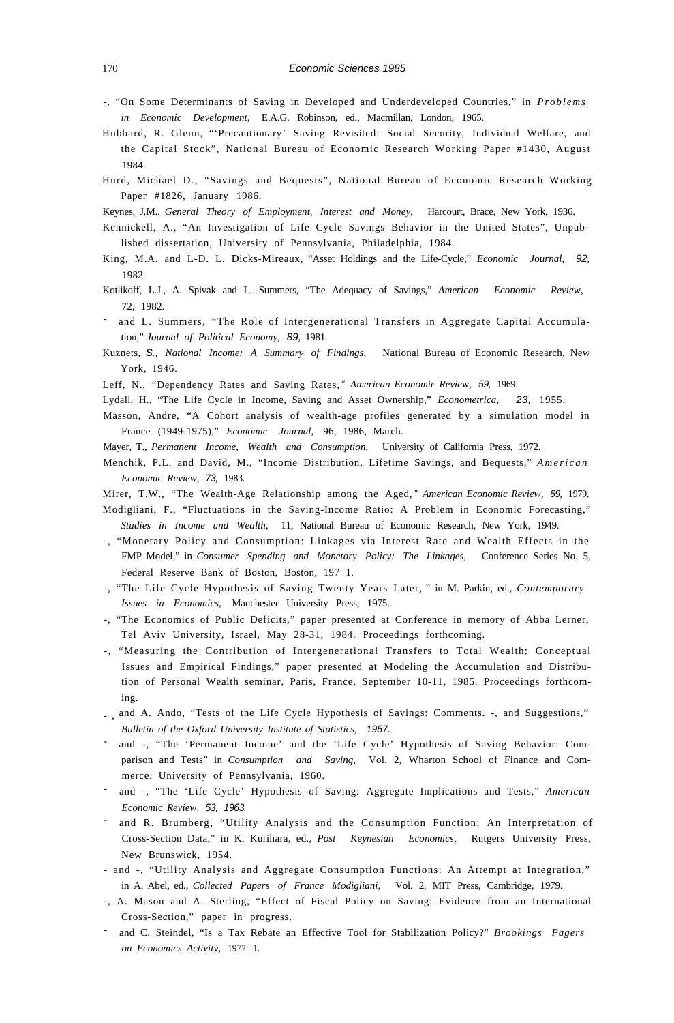- -, "On Some Determinants of Saving in Developed and Underdeveloped Countries," in *Problems in Economic Development,* E.A.G. Robinson, ed., Macmillan, London, 1965.
- Hubbard, R. Glenn, "'Precautionary' Saving Revisited: Social Security, Individual Welfare, and the Capital Stock", National Bureau of Economic Research Working Paper #1430, August 1984.
- Hurd, Michael D., "Savings and Bequests", National Bureau of Economic Research Working Paper #1826, January 1986.
- Keynes, J.M., *General Theory of Employment, Interest and Money,* Harcourt, Brace, New York, 1936.
- Kennickell, A., "An Investigation of Life Cycle Savings Behavior in the United States", Unpublished dissertation, University of Pennsylvania, Philadelphia, 1984.
- King, M.A. and L-D. L. Dicks-Mireaux, "Asset Holdings and the Life-Cycle," *Economic Journal, 92,* 1982.
- Kotlikoff, L.J., A. Spivak and L. Summers, "The Adequacy of Savings," *American Economic Review,* 72, 1982.
- and L. Summers, "The Role of Intergenerational Transfers in Aggregate Capital Accumulation," *Journal of Political Economy, 89,* 1981.
- Kuznets, *S., National Income: A Summary of Findings,* National Bureau of Economic Research, New York, 1946.
- Leff, N., "Dependency Rates and Saving Rates, *" American Economic Review, 59,* 1969.
- Lydall, H., "The Life Cycle in Income, Saving and Asset Ownership," *Econometrica, 23,* 1955.
- Masson, Andre, "A Cohort analysis of wealth-age profiles generated by a simulation model in France (1949-1975)," *Economic Journal,* 96, 1986, March.
- Mayer, T., *Permanent Income, Wealth and Consumption,* University of California Press, 1972.
- Menchik, P.L. and David, M., "Income Distribution, Lifetime Savings, and Bequests," *America n Economic Review, 73,* 1983.
- Mirer, T.W., "The Wealth-Age Relationship among the Aged, *" American Economic Review, 69,* 1979.
- Modigliani, F., "Fluctuations in the Saving-Income Ratio: A Problem in Economic Forecasting," *Studies in Income and Wealth,* 11, National Bureau of Economic Research, New York, 1949.
- -, "Monetary Policy and Consumption: Linkages via Interest Rate and Wealth Effects in the FMP Model," in *Consumer Spending and Monetary Policy: The Linkages,* Conference Series No. 5, Federal Reserve Bank of Boston, Boston, 197 1.
- -, "The Life Cycle Hypothesis of Saving Twenty Years Later, " in M. Parkin, ed., *Contemporary Issues in Economics,* Manchester University Press, 1975.
- -, "The Economics of Public Deficits," paper presented at Conference in memory of Abba Lerner, Tel Aviv University, Israel, May 28-31, 1984. Proceedings forthcoming.
- -, "Measuring the Contribution of Intergenerational Transfers to Total Wealth: Conceptual Issues and Empirical Findings," paper presented at Modeling the Accumulation and Distribution of Personal Wealth seminar, Paris, France, September 10-11, 1985. Proceedings forthcoming.
- , and A. Ando, "Tests of the Life Cycle Hypothesis of Savings: Comments. -, and Suggestions," *Bulletin of the Oxford University Institute of Statistics, 1957.*
- *-* and -, "The 'Permanent Income' and the 'Life Cycle' Hypothesis of Saving Behavior: Comparison and Tests" in *Consumption and Saving,* Vol. 2, Wharton School of Finance and Commerce, University of Pennsylvania, 1960.
- and -, "The 'Life Cycle' Hypothesis of Saving: Aggregate Implications and Tests," *American Economic Review, 53, 1963.*
- *-* and R. Brumberg, "Utility Analysis and the Consumption Function: An Interpretation of Cross-Section Data," in K. Kurihara, ed., *Post Keynesian Economics,* Rutgers University Press, New Brunswick, 1954.
- and -, "Utility Analysis and Aggregate Consumption Functions: An Attempt at Integration," in A. Abel, ed., *Collected Papers of France Modigliani,* Vol. 2, MIT Press, Cambridge, 1979.
- -, A. Mason and A. Sterling, "Effect of Fiscal Policy on Saving: Evidence from an International Cross-Section," paper in progress.
- and C. Steindel, "Is a Tax Rebate an Effective Tool for Stabilization Policy?" *Brookings Pagers on Economics Activity,* 1977: 1.